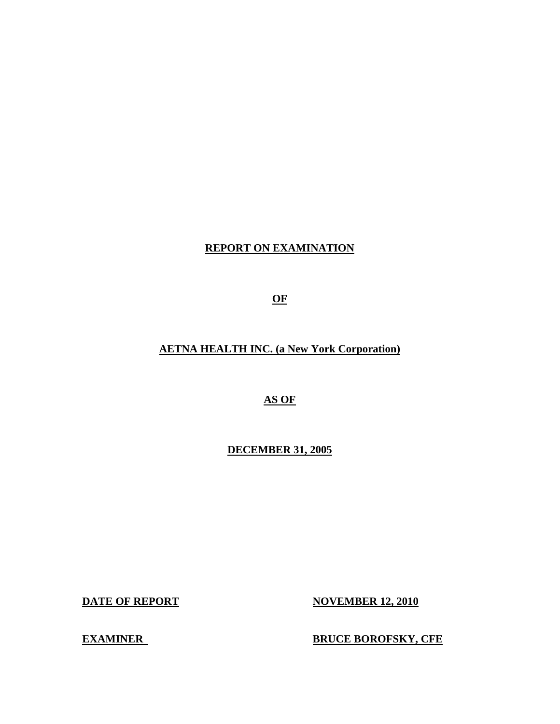# **REPORT ON EXAMINATION**

**OF** 

# **AETNA HEALTH INC. (a New York Corporation)**

**AS OF** 

**DECEMBER 31, 2005** 

**DATE OF REPORT** 

**DECEMBER 31, 2005 DATE OF REPORT NOVEMBER 12, 2010** 

**EXAMINER** 

**ERUCE BOROFSKY, CFE**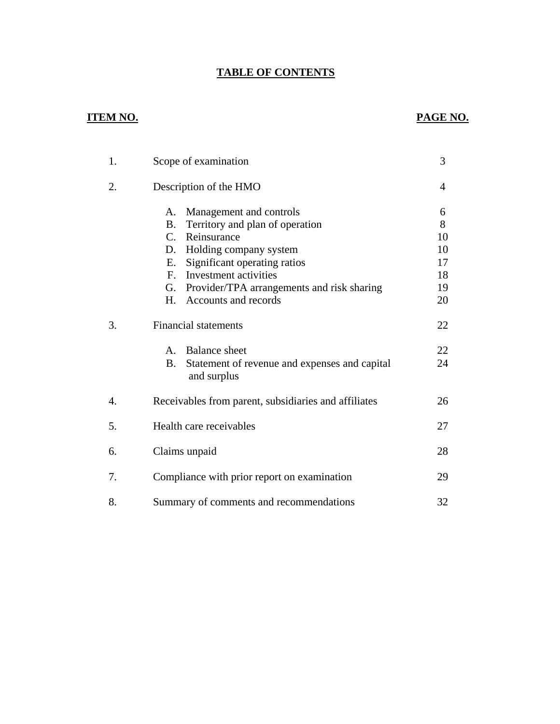# **TABLE OF CONTENTS**

# **ITEM NO. PAGE NO.**

| 1.               | Scope of examination                                       | 3  |
|------------------|------------------------------------------------------------|----|
| 2.               | Description of the HMO                                     | 4  |
|                  | Management and controls<br>A.                              | 6  |
|                  | Territory and plan of operation<br>Β.                      | 8  |
|                  | C.<br>Reinsurance                                          | 10 |
|                  | Holding company system<br>D.                               | 10 |
|                  | Significant operating ratios<br>Е.                         | 17 |
|                  | Investment activities<br>$F_{\cdot}$                       | 18 |
|                  | Provider/TPA arrangements and risk sharing<br>G.           | 19 |
|                  | Accounts and records<br>H.                                 | 20 |
| 3.               | <b>Financial statements</b>                                | 22 |
|                  | <b>Balance</b> sheet<br>$A_{-}$                            | 22 |
|                  | Statement of revenue and expenses and capital<br><b>B.</b> | 24 |
|                  | and surplus                                                |    |
| $\overline{4}$ . | Receivables from parent, subsidiaries and affiliates       | 26 |
| 5.               | Health care receivables                                    | 27 |
| 6.               | Claims unpaid                                              | 28 |
|                  |                                                            |    |
| 7.               | Compliance with prior report on examination                | 29 |
| 8.               | Summary of comments and recommendations                    | 32 |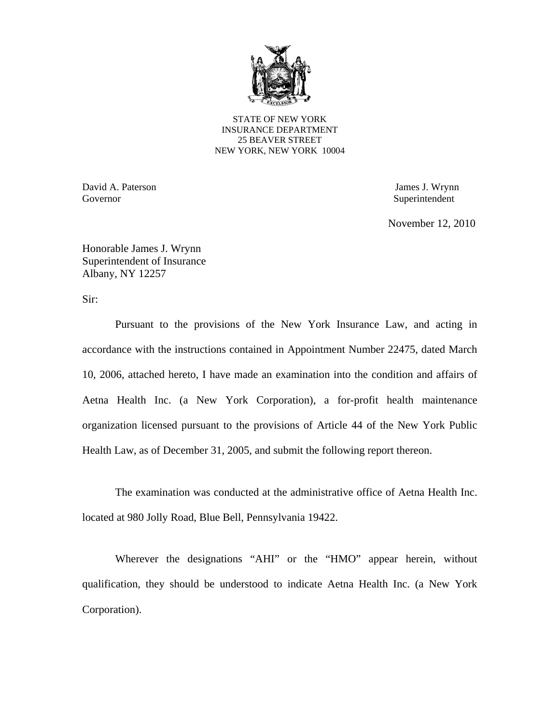

STATE OF NEW YORK INSURANCE DEPARTMENT 25 BEAVER STREET NEW YORK, NEW YORK 10004

David A. Paterson James J. Wrynn Governor Superintendent Superintendent Superintendent Superintendent Superintendent Superintendent Superintendent Superintendent Superintendent Superintendent Superintendent Superintendent Superintendent Superintendent Sup

November 12, 2010

Honorable James J. Wrynn Superintendent of Insurance Albany, NY 12257

Sir:

Pursuant to the provisions of the New York Insurance Law, and acting in accordance with the instructions contained in Appointment Number 22475, dated March 10, 2006, attached hereto, I have made an examination into the condition and affairs of Aetna Health Inc. (a New York Corporation), a for-profit health maintenance organization licensed pursuant to the provisions of Article 44 of the New York Public Health Law, as of December 31, 2005, and submit the following report thereon.

The examination was conducted at the administrative office of Aetna Health Inc. located at 980 Jolly Road, Blue Bell, Pennsylvania 19422.

Wherever the designations "AHI" or the "HMO" appear herein, without qualification, they should be understood to indicate Aetna Health Inc. (a New York Corporation).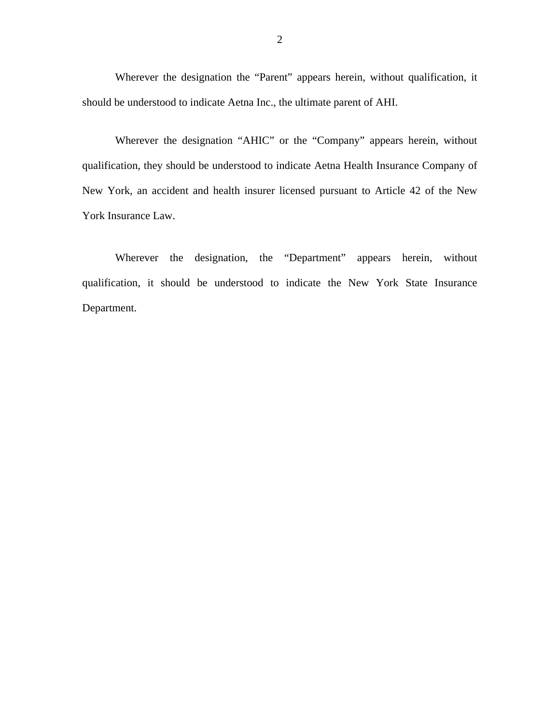Wherever the designation the "Parent" appears herein, without qualification, it should be understood to indicate Aetna Inc., the ultimate parent of AHI.

Wherever the designation "AHIC" or the "Company" appears herein, without qualification, they should be understood to indicate Aetna Health Insurance Company of New York, an accident and health insurer licensed pursuant to Article 42 of the New York Insurance Law.

Wherever the designation, the "Department" appears herein, without qualification, it should be understood to indicate the New York State Insurance Department.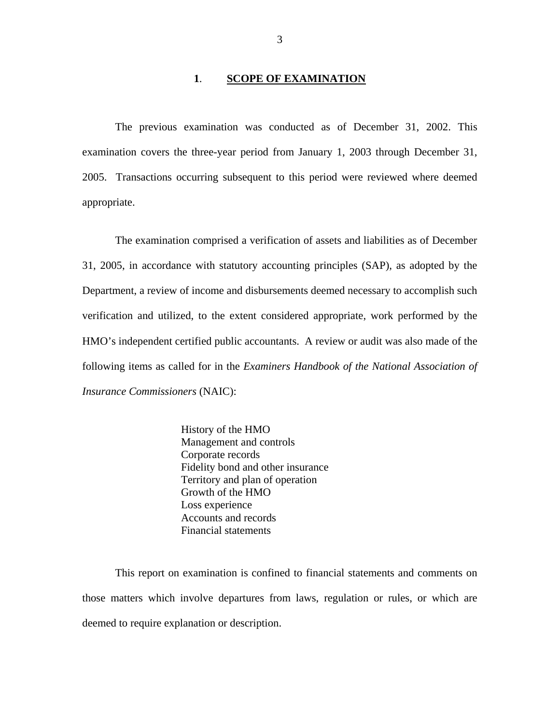### **1**. **SCOPE OF EXAMINATION**

The previous examination was conducted as of December 31, 2002. This examination covers the three-year period from January 1, 2003 through December 31, 2005. Transactions occurring subsequent to this period were reviewed where deemed appropriate.

The examination comprised a verification of assets and liabilities as of December 31, 2005, in accordance with statutory accounting principles (SAP), as adopted by the Department, a review of income and disbursements deemed necessary to accomplish such verification and utilized, to the extent considered appropriate, work performed by the HMO's independent certified public accountants. A review or audit was also made of the following items as called for in the *Examiners Handbook of the National Association of Insurance Commissioners* (NAIC):

> History of the HMO Management and controls Corporate records Fidelity bond and other insurance Territory and plan of operation Growth of the HMO Loss experience Accounts and records Financial statements

This report on examination is confined to financial statements and comments on those matters which involve departures from laws, regulation or rules, or which are deemed to require explanation or description.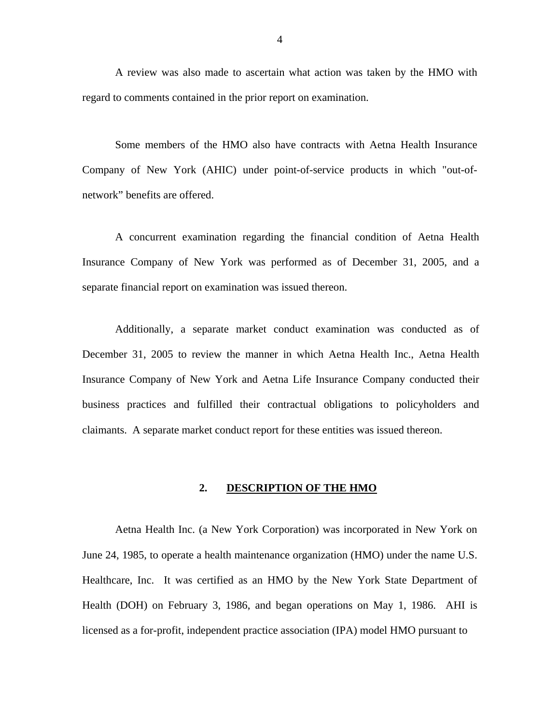<span id="page-5-0"></span>A review was also made to ascertain what action was taken by the HMO with regard to comments contained in the prior report on examination.

Some members of the HMO also have contracts with Aetna Health Insurance Company of New York (AHIC) under point-of-service products in which "out-ofnetwork" benefits are offered.

A concurrent examination regarding the financial condition of Aetna Health Insurance Company of New York was performed as of December 31, 2005, and a separate financial report on examination was issued thereon.

Additionally, a separate market conduct examination was conducted as of December 31, 2005 to review the manner in which Aetna Health Inc., Aetna Health Insurance Company of New York and Aetna Life Insurance Company conducted their business practices and fulfilled their contractual obligations to policyholders and claimants. A separate market conduct report for these entities was issued thereon.

### **2. DESCRIPTION OF THE HMO**

Aetna Health Inc. (a New York Corporation) was incorporated in New York on June 24, 1985, to operate a health maintenance organization (HMO) under the name U.S. Healthcare, Inc. It was certified as an HMO by the New York State Department of Health (DOH) on February 3, 1986, and began operations on May 1, 1986. AHI is licensed as a for-profit, independent practice association (IPA) model HMO pursuant to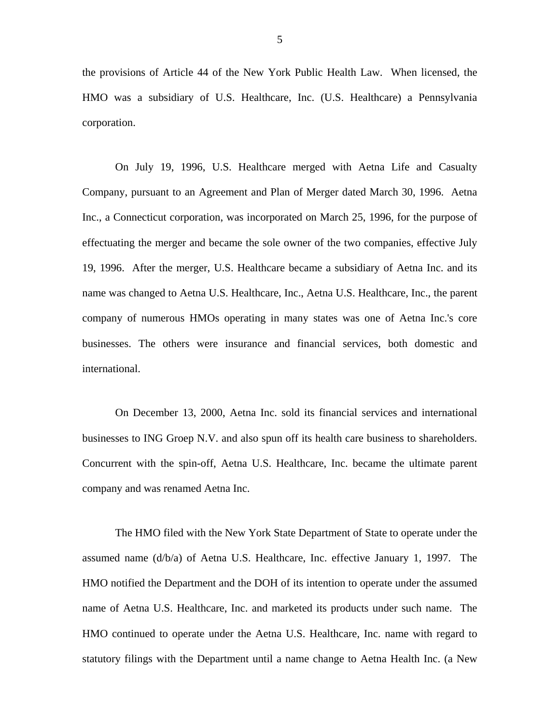the provisions of Article 44 of the New York Public Health Law. When licensed, the HMO was a subsidiary of U.S. Healthcare, Inc. (U.S. Healthcare) a Pennsylvania corporation.

On July 19, 1996, U.S. Healthcare merged with Aetna Life and Casualty Company, pursuant to an Agreement and Plan of Merger dated March 30, 1996. Aetna Inc., a Connecticut corporation, was incorporated on March 25, 1996, for the purpose of effectuating the merger and became the sole owner of the two companies, effective July 19, 1996. After the merger, U.S. Healthcare became a subsidiary of Aetna Inc. and its name was changed to Aetna U.S. Healthcare, Inc., Aetna U.S. Healthcare, Inc., the parent company of numerous HMOs operating in many states was one of Aetna Inc.'s core businesses. The others were insurance and financial services, both domestic and international.

On December 13, 2000, Aetna Inc. sold its financial services and international businesses to ING Groep N.V. and also spun off its health care business to shareholders. Concurrent with the spin-off, Aetna U.S. Healthcare, Inc. became the ultimate parent company and was renamed Aetna Inc.

The HMO filed with the New York State Department of State to operate under the assumed name (d/b/a) of Aetna U.S. Healthcare, Inc. effective January 1, 1997. The HMO notified the Department and the DOH of its intention to operate under the assumed name of Aetna U.S. Healthcare, Inc. and marketed its products under such name. The HMO continued to operate under the Aetna U.S. Healthcare, Inc. name with regard to statutory filings with the Department until a name change to Aetna Health Inc. (a New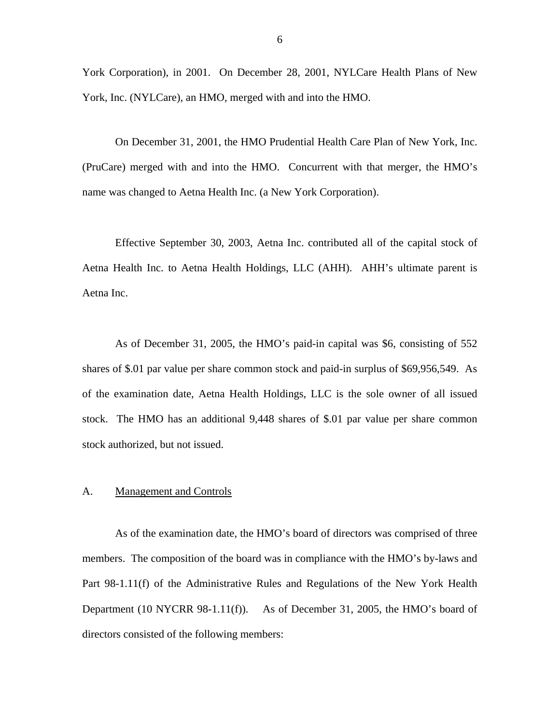<span id="page-7-0"></span>York Corporation), in 2001. On December 28, 2001, NYLCare Health Plans of New York, Inc. (NYLCare), an HMO, merged with and into the HMO.

On December 31, 2001, the HMO Prudential Health Care Plan of New York, Inc. (PruCare) merged with and into the HMO. Concurrent with that merger, the HMO's name was changed to Aetna Health Inc. (a New York Corporation).

Effective September 30, 2003, Aetna Inc. contributed all of the capital stock of Aetna Health Inc. to Aetna Health Holdings, LLC (AHH). AHH's ultimate parent is Aetna Inc.

As of December 31, 2005, the HMO's paid-in capital was \$6, consisting of 552 shares of \$.01 par value per share common stock and paid-in surplus of \$69,956,549. As of the examination date, Aetna Health Holdings, LLC is the sole owner of all issued stock. The HMO has an additional 9,448 shares of \$.01 par value per share common stock authorized, but not issued.

#### A. Management and Controls

As of the examination date, the HMO's board of directors was comprised of three members. The composition of the board was in compliance with the HMO's by-laws and Part 98-1.11(f) of the Administrative Rules and Regulations of the New York Health Department (10 NYCRR 98-1.11(f)). As of December 31, 2005, the HMO's board of directors consisted of the following members: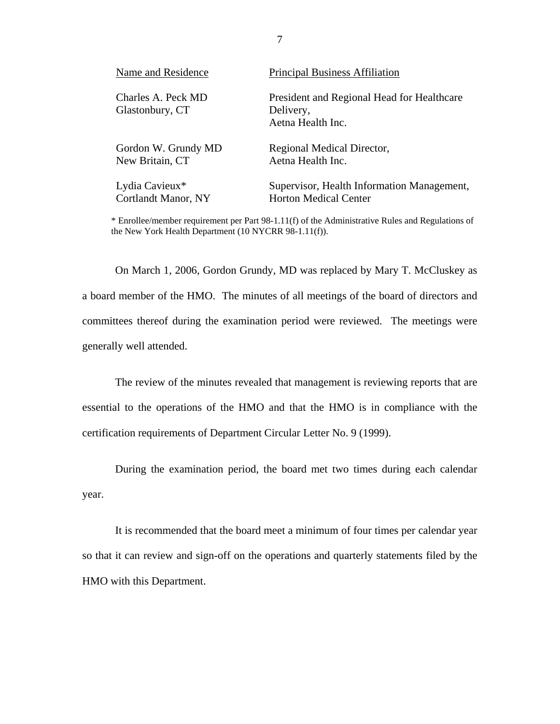| Name and Residence                    | <b>Principal Business Affiliation</b>                                        |
|---------------------------------------|------------------------------------------------------------------------------|
| Charles A. Peck MD<br>Glastonbury, CT | President and Regional Head for Healthcare<br>Delivery,<br>Aetna Health Inc. |
| Gordon W. Grundy MD                   | Regional Medical Director,                                                   |
| New Britain, CT                       | Aetna Health Inc.                                                            |
| Lydia Cavieux*                        | Supervisor, Health Information Management,                                   |
| <b>Cortlandt Manor, NY</b>            | <b>Horton Medical Center</b>                                                 |

\* Enrollee/member requirement per Part 98-1.11(f) of the Administrative Rules and Regulations of the New York Health Department (10 NYCRR 98-1.11(f)).

generally well attended. On March 1, 2006, Gordon Grundy, MD was replaced by Mary T. McCluskey as a board member of the HMO. The minutes of all meetings of the board of directors and committees thereof during the examination period were reviewed. The meetings were

The review of the minutes revealed that management is reviewing reports that are essential to the operations of the HMO and that the HMO is in compliance with the certification requirements of Department Circular Letter No. 9 (1999).

During the examination period, the board met two times during each calendar year.

It is recommended that the board meet a minimum of four times per calendar year so that it can review and sign-off on the operations and quarterly statements filed by the HMO with this Department.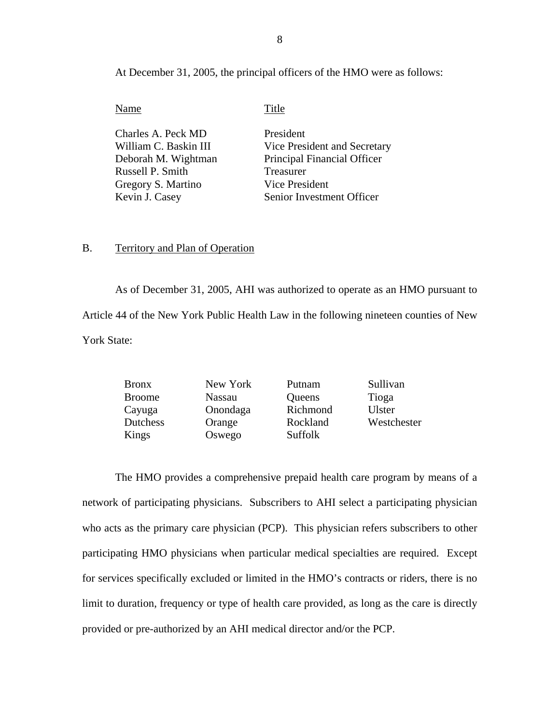At December 31, 2005, the principal officers of the HMO were as follows:

**Title** 

| Charles A. Peck MD    | President                    |
|-----------------------|------------------------------|
| William C. Baskin III | Vice President and Secretary |
| Deborah M. Wightman   | Principal Financial Officer  |
| Russell P. Smith      | Treasurer                    |
| Gregory S. Martino    | Vice President               |
| Kevin J. Casey        | Senior Investment Officer    |

## B. Territory and Plan of Operation

As of December 31, 2005, AHI was authorized to operate as an HMO pursuant to Article 44 of the New York Public Health Law in the following nineteen counties of New York State:

| New York      | Putnam   | Sullivan      |
|---------------|----------|---------------|
| <b>Nassau</b> | Queens   | Tioga         |
| Onondaga      | Richmond | <b>Ulster</b> |
| Orange        | Rockland | Westchester   |
| Oswego        | Suffolk  |               |
|               |          |               |

The HMO provides a comprehensive prepaid health care program by means of a network of participating physicians. Subscribers to AHI select a participating physician who acts as the primary care physician (PCP). This physician refers subscribers to other participating HMO physicians when particular medical specialties are required. Except for services specifically excluded or limited in the HMO's contracts or riders, there is no limit to duration, frequency or type of health care provided, as long as the care is directly provided or pre-authorized by an AHI medical director and/or the PCP.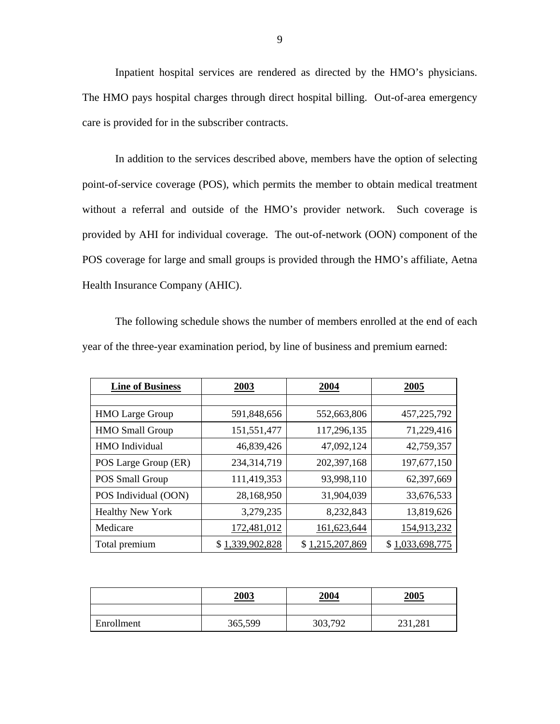Inpatient hospital services are rendered as directed by the HMO's physicians. The HMO pays hospital charges through direct hospital billing. Out-of-area emergency care is provided for in the subscriber contracts.

In addition to the services described above, members have the option of selecting point-of-service coverage (POS), which permits the member to obtain medical treatment without a referral and outside of the HMO's provider network. Such coverage is provided by AHI for individual coverage. The out-of-network (OON) component of the POS coverage for large and small groups is provided through the HMO's affiliate, Aetna Health Insurance Company (AHIC).

The following schedule shows the number of members enrolled at the end of each year of the three-year examination period, by line of business and premium earned:

| <b>Line of Business</b> | 2003            | 2004            | 2005            |
|-------------------------|-----------------|-----------------|-----------------|
|                         |                 |                 |                 |
| <b>HMO</b> Large Group  | 591,848,656     | 552,663,806     | 457,225,792     |
| <b>HMO</b> Small Group  | 151,551,477     | 117,296,135     | 71,229,416      |
| <b>HMO</b> Individual   | 46,839,426      | 47,092,124      | 42,759,357      |
| POS Large Group (ER)    | 234,314,719     | 202,397,168     | 197,677,150     |
| POS Small Group         | 111,419,353     | 93,998,110      | 62,397,669      |
| POS Individual (OON)    | 28,168,950      | 31,904,039      | 33,676,533      |
| <b>Healthy New York</b> | 3,279,235       | 8,232,843       | 13,819,626      |
| Medicare                | 172,481,012     | 161,623,644     | 154,913,232     |
| Total premium           | \$1,339,902,828 | \$1,215,207,869 | \$1,033,698,775 |

|            | 2003    | <u>2004</u> | 2005    |
|------------|---------|-------------|---------|
|            |         |             |         |
| Enrollment | 365,599 | 303,792     | 231,281 |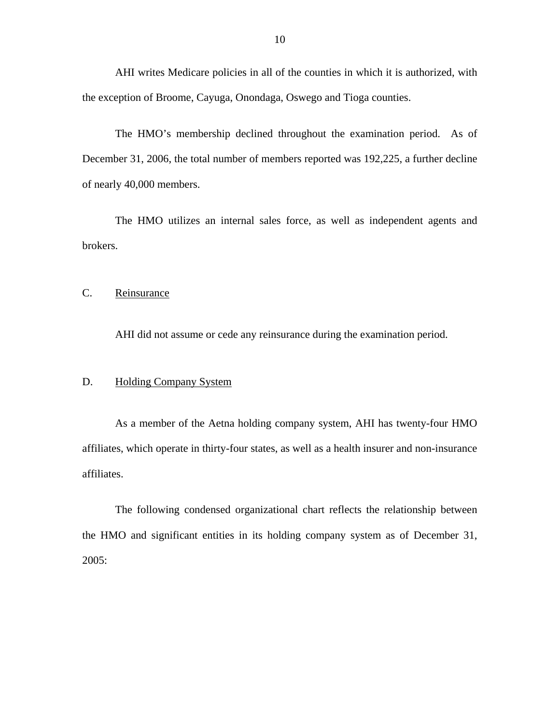<span id="page-11-0"></span>AHI writes Medicare policies in all of the counties in which it is authorized, with the exception of Broome, Cayuga, Onondaga, Oswego and Tioga counties.

The HMO's membership declined throughout the examination period. As of December 31, 2006, the total number of members reported was 192,225, a further decline of nearly 40,000 members.

The HMO utilizes an internal sales force, as well as independent agents and brokers.

C. Reinsurance

AHI did not assume or cede any reinsurance during the examination period.

#### **Holding Company System**

D. Holding Company System<br>As a member of the Aetna holding company system, AHI has twenty-four HMO affiliates, which operate in thirty-four states, as well as a health insurer and non-insurance affiliates.

The following condensed organizational chart reflects the relationship between the HMO and significant entities in its holding company system as of December 31, 2005: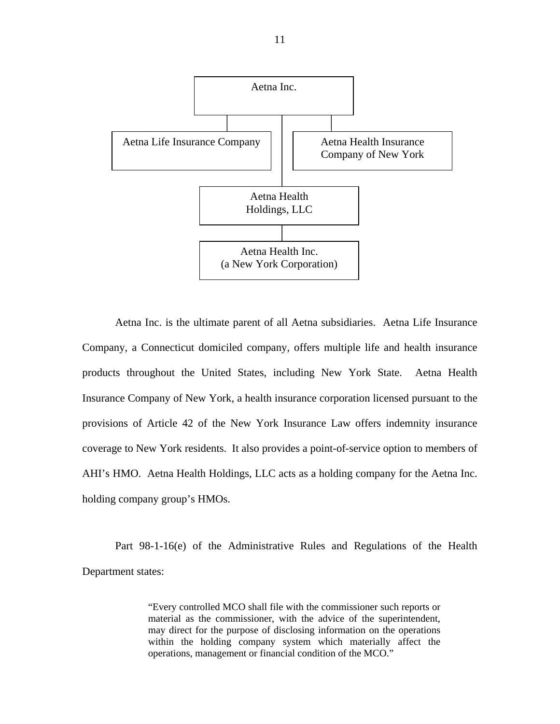

Aetna Inc. is the ultimate parent of all Aetna subsidiaries. Aetna Life Insurance Company, a Connecticut domiciled company, offers multiple life and health insurance products throughout the United States, including New York State. Aetna Health Insurance Company of New York, a health insurance corporation licensed pursuant to the provisions of Article 42 of the New York Insurance Law offers indemnity insurance coverage to New York residents. It also provides a point-of-service option to members of AHI's HMO. Aetna Health Holdings, LLC acts as a holding company for the Aetna Inc. holding company group's HMOs.

Part 98-1-16(e) of the Administrative Rules and Regulations of the Health Department states:

> "Every controlled MCO shall file with the commissioner such reports or material as the commissioner, with the advice of the superintendent, may direct for the purpose of disclosing information on the operations within the holding company system which materially affect the operations, management or financial condition of the MCO."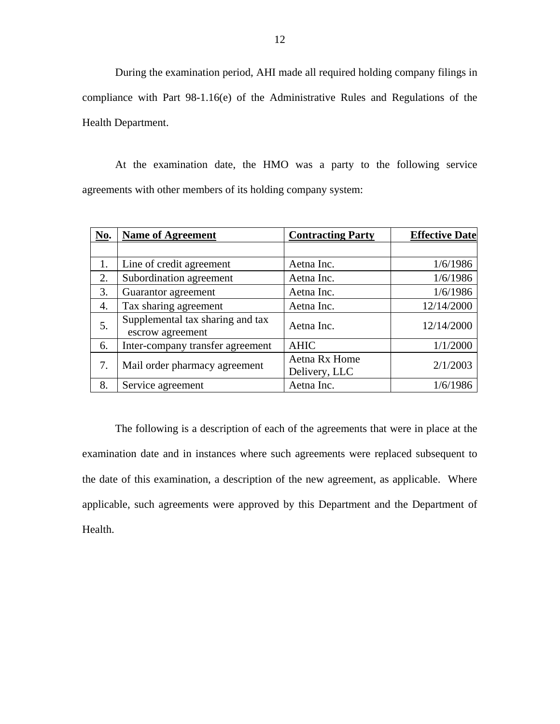During the examination period, AHI made all required holding company filings in compliance with Part 98-1.16(e) of the Administrative Rules and Regulations of the Health Department.

At the examination date, the HMO was a party to the following service agreements with other members of its holding company system:

| <b>No.</b> | <b>Name of Agreement</b>                             | <b>Contracting Party</b>       | <b>Effective Date</b> |
|------------|------------------------------------------------------|--------------------------------|-----------------------|
|            |                                                      |                                |                       |
| 1.         | Line of credit agreement                             | Aetna Inc.                     | 1/6/1986              |
| 2.         | Subordination agreement                              | Aetna Inc.                     | 1/6/1986              |
| 3.         | Guarantor agreement                                  | Aetna Inc.                     | 1/6/1986              |
| 4.         | Tax sharing agreement                                | Aetna Inc.                     | 12/14/2000            |
| 5.         | Supplemental tax sharing and tax<br>escrow agreement | Aetna Inc.                     | 12/14/2000            |
| 6.         | Inter-company transfer agreement                     | <b>AHIC</b>                    | 1/1/2000              |
| 7.         | Mail order pharmacy agreement                        | Aetna Rx Home<br>Delivery, LLC | 2/1/2003              |
| 8.         | Service agreement                                    | Aetna Inc.                     | 1/6/1986              |

The following is a description of each of the agreements that were in place at the examination date and in instances where such agreements were replaced subsequent to the date of this examination, a description of the new agreement, as applicable. Where applicable, such agreements were approved by this Department and the Department of Health.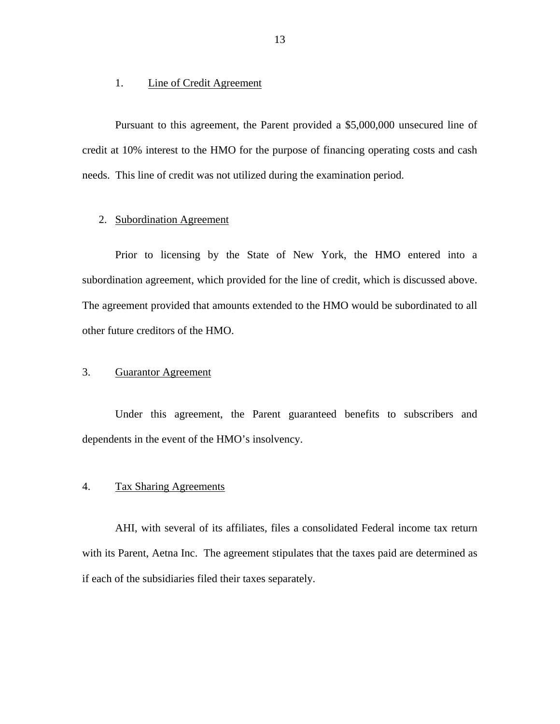#### 1. Line of Credit Agreement

Pursuant to this agreement, the Parent provided a \$5,000,000 unsecured line of credit at 10% interest to the HMO for the purpose of financing operating costs and cash needs. This line of credit was not utilized during the examination period.

### 2. Subordination Agreement

Prior to licensing by the State of New York, the HMO entered into a subordination agreement, which provided for the line of credit, which is discussed above. The agreement provided that amounts extended to the HMO would be subordinated to all other future creditors of the HMO.

## 3. Guarantor Agreement

Under this agreement, the Parent guaranteed benefits to subscribers and dependents in the event of the HMO's insolvency.

## 4. Tax Sharing Agreements

AHI, with several of its affiliates, files a consolidated Federal income tax return with its Parent, Aetna Inc. The agreement stipulates that the taxes paid are determined as if each of the subsidiaries filed their taxes separately.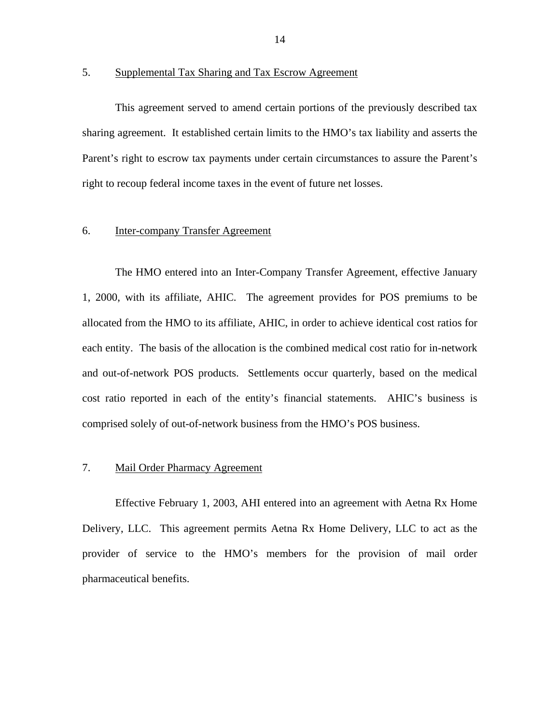## 5. Supplemental Tax Sharing and Tax Escrow Agreement

This agreement served to amend certain portions of the previously described tax sharing agreement. It established certain limits to the HMO's tax liability and asserts the Parent's right to escrow tax payments under certain circumstances to assure the Parent's right to recoup federal income taxes in the event of future net losses.

## **Inter-company Transfer Agreement**

6. Inter-company Transfer Agreement<br>The HMO entered into an Inter-Company Transfer Agreement, effective January 1, 2000, with its affiliate, AHIC. The agreement provides for POS premiums to be allocated from the HMO to its affiliate, AHIC, in order to achieve identical cost ratios for each entity. The basis of the allocation is the combined medical cost ratio for in-network and out-of-network POS products. Settlements occur quarterly, based on the medical cost ratio reported in each of the entity's financial statements. AHIC's business is comprised solely of out-of-network business from the HMO's POS business.

## 7. Mail Order Pharmacy Agreement

Effective February 1, 2003, AHI entered into an agreement with Aetna Rx Home Delivery, LLC. This agreement permits Aetna Rx Home Delivery, LLC to act as the provider of service to the HMO's members for the provision of mail order pharmaceutical benefits.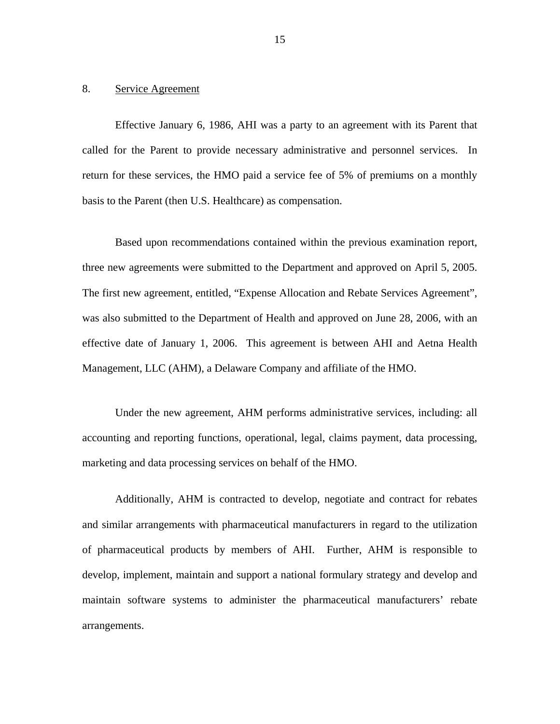#### 8. Service Agreement

Effective January 6, 1986, AHI was a party to an agreement with its Parent that called for the Parent to provide necessary administrative and personnel services. In return for these services, the HMO paid a service fee of 5% of premiums on a monthly basis to the Parent (then U.S. Healthcare) as compensation.

Based upon recommendations contained within the previous examination report, three new agreements were submitted to the Department and approved on April 5, 2005. The first new agreement, entitled, "Expense Allocation and Rebate Services Agreement", was also submitted to the Department of Health and approved on June 28, 2006, with an effective date of January 1, 2006. This agreement is between AHI and Aetna Health Management, LLC (AHM), a Delaware Company and affiliate of the HMO.

Under the new agreement, AHM performs administrative services, including: all accounting and reporting functions, operational, legal, claims payment, data processing, marketing and data processing services on behalf of the HMO.

Additionally, AHM is contracted to develop, negotiate and contract for rebates and similar arrangements with pharmaceutical manufacturers in regard to the utilization of pharmaceutical products by members of AHI. Further, AHM is responsible to develop, implement, maintain and support a national formulary strategy and develop and maintain software systems to administer the pharmaceutical manufacturers' rebate arrangements.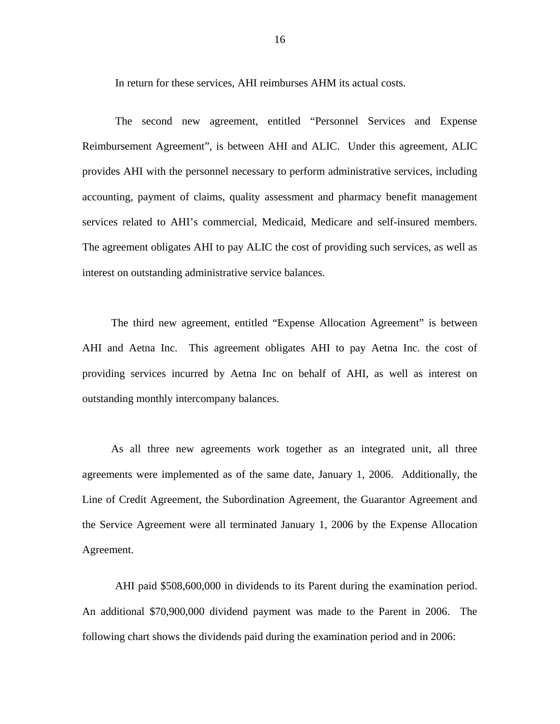In return for these services, AHI reimburses AHM its actual costs.

The second new agreement, entitled "Personnel Services and Expense Reimbursement Agreement", is between AHI and ALIC. Under this agreement, ALIC provides AHI with the personnel necessary to perform administrative services, including accounting, payment of claims, quality assessment and pharmacy benefit management services related to AHI's commercial, Medicaid, Medicare and self-insured members. The agreement obligates AHI to pay ALIC the cost of providing such services, as well as interest on outstanding administrative service balances.

The third new agreement, entitled "Expense Allocation Agreement" is between AHI and Aetna Inc. This agreement obligates AHI to pay Aetna Inc. the cost of providing services incurred by Aetna Inc on behalf of AHI, as well as interest on outstanding monthly intercompany balances.

As all three new agreements work together as an integrated unit, all three agreements were implemented as of the same date, January 1, 2006. Additionally, the Line of Credit Agreement, the Subordination Agreement, the Guarantor Agreement and the Service Agreement were all terminated January 1, 2006 by the Expense Allocation Agreement.

AHI paid \$508,600,000 in dividends to its Parent during the examination period. An additional \$70,900,000 dividend payment was made to the Parent in 2006. The following chart shows the dividends paid during the examination period and in 2006: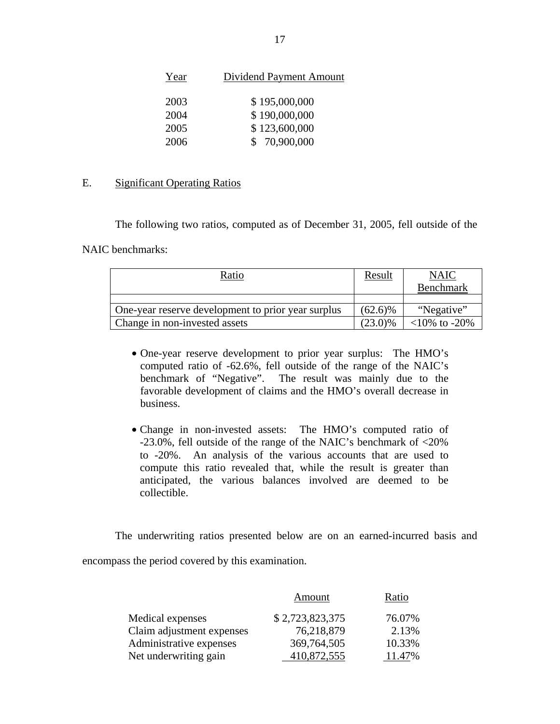| Year | Dividend Payment Amount |
|------|-------------------------|
| 2003 | \$195,000,000           |
| 2004 | \$190,000,000           |
| 2005 | \$123,600,000           |
| 2006 | \$70,900,000            |

## E. Significant Operating Ratios

The following two ratios, computed as of December 31, 2005, fell outside of the

NAIC benchmarks:

| Ratio                                              | Result     | <b>NAIC</b>        |
|----------------------------------------------------|------------|--------------------|
|                                                    |            | Benchmark          |
|                                                    |            |                    |
| One-year reserve development to prior year surplus | $(62.6)\%$ | "Negative"         |
| Change in non-invested assets                      | $(23.0)\%$ | $<10\%$ to $-20\%$ |

- One-year reserve development to prior year surplus: The HMO's computed ratio of -62.6%, fell outside of the range of the NAIC's benchmark of "Negative". The result was mainly due to the favorable development of claims and the HMO's overall decrease in business.
- Change in non-invested assets: The HMO's computed ratio of -23.0%, fell outside of the range of the NAIC's benchmark of <20% to -20%. An analysis of the various accounts that are used to compute this ratio revealed that, while the result is greater than anticipated, the various balances involved are deemed to be collectible.

The underwriting ratios presented below are on an earned-incurred basis and

encompass the period covered by this examination.

|                           | Amount          | Ratio  |
|---------------------------|-----------------|--------|
| Medical expenses          | \$2,723,823,375 | 76.07% |
| Claim adjustment expenses | 76,218,879      | 2.13%  |
| Administrative expenses   | 369,764,505     | 10.33% |
| Net underwriting gain     | 410,872,555     | 11.47% |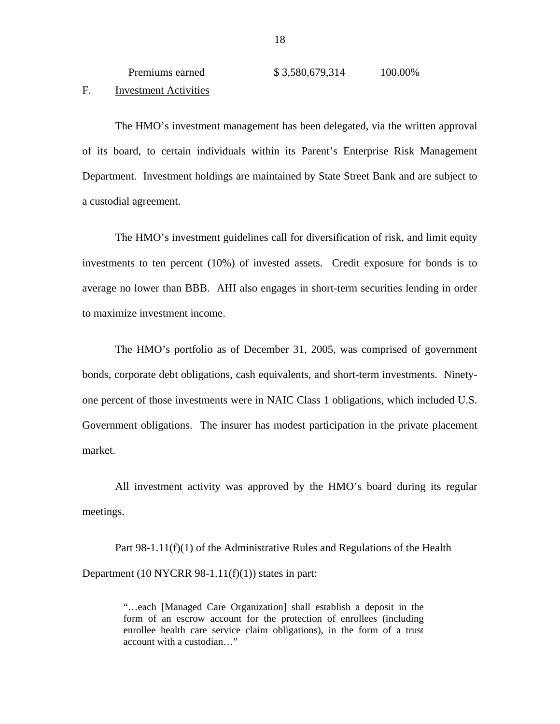<span id="page-19-0"></span>

| Premiums earned       | \$3,580,679,314 | 100.00% |
|-----------------------|-----------------|---------|
| Investment Activities |                 |         |

The HMO's investment management has been delegated, via the written approval of its board, to certain individuals within its Parent's Enterprise Risk Management Department. Investment holdings are maintained by State Street Bank and are subject to a custodial agreement.

The HMO's investment guidelines call for diversification of risk, and limit equity investments to ten percent (10%) of invested assets. Credit exposure for bonds is to average no lower than BBB. AHI also engages in short-term securities lending in order to maximize investment income.

The HMO's portfolio as of December 31, 2005, was comprised of government bonds, corporate debt obligations, cash equivalents, and short-term investments. Ninetyone percent of those investments were in NAIC Class 1 obligations, which included U.S. Government obligations. The insurer has modest participation in the private placement market.

All investment activity was approved by the HMO's board during its regular meetings.

Part 98-1.11(f)(1) of the Administrative Rules and Regulations of the Health Department  $(10 \text{ NYCRR } 98-1.11(f)(1))$  states in part:

> "…each [Managed Care Organization] shall establish a deposit in the form of an escrow account for the protection of enrollees (including enrollee health care service claim obligations), in the form of a trust account with a custodian…"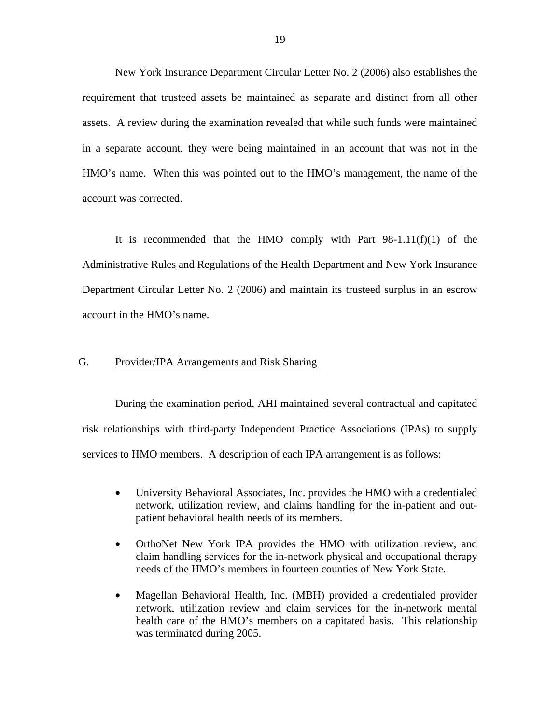<span id="page-20-0"></span>New York Insurance Department Circular Letter No. 2 (2006) also establishes the requirement that trusteed assets be maintained as separate and distinct from all other assets. A review during the examination revealed that while such funds were maintained in a separate account, they were being maintained in an account that was not in the HMO's name. When this was pointed out to the HMO's management, the name of the account was corrected.

It is recommended that the HMO comply with Part  $98-1.11(f)(1)$  of the Administrative Rules and Regulations of the Health Department and New York Insurance Department Circular Letter No. 2 (2006) and maintain its trusteed surplus in an escrow account in the HMO's name.

## G. Provider/IPA Arrangements and Risk Sharing

During the examination period, AHI maintained several contractual and capitated risk relationships with third-party Independent Practice Associations (IPAs) to supply services to HMO members. A description of each IPA arrangement is as follows:

- University Behavioral Associates, Inc. provides the HMO with a credentialed network, utilization review, and claims handling for the in-patient and outpatient behavioral health needs of its members.
- OrthoNet New York IPA provides the HMO with utilization review, and claim handling services for the in-network physical and occupational therapy needs of the HMO's members in fourteen counties of New York State.
- Magellan Behavioral Health, Inc. (MBH) provided a credentialed provider network, utilization review and claim services for the in-network mental health care of the HMO's members on a capitated basis. This relationship was terminated during 2005.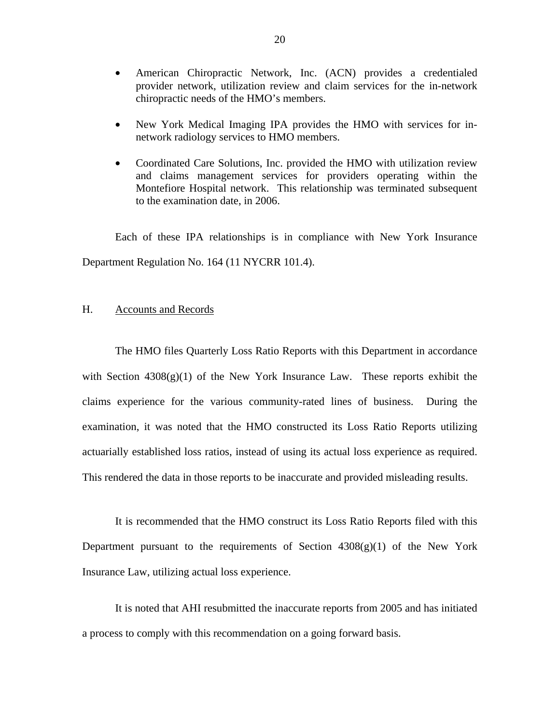- <span id="page-21-0"></span>• American Chiropractic Network, Inc. (ACN) provides a credentialed provider network, utilization review and claim services for the in-network chiropractic needs of the HMO's members.
- New York Medical Imaging IPA provides the HMO with services for innetwork radiology services to HMO members.
- Coordinated Care Solutions, Inc. provided the HMO with utilization review and claims management services for providers operating within the Montefiore Hospital network. This relationship was terminated subsequent to the examination date, in 2006.

Each of these IPA relationships is in compliance with New York Insurance Department Regulation No. 164 (11 NYCRR 101.4).

## H. Accounts and Records

The HMO files Quarterly Loss Ratio Reports with this Department in accordance with Section  $4308(g)(1)$  of the New York Insurance Law. These reports exhibit the claims experience for the various community-rated lines of business. During the examination, it was noted that the HMO constructed its Loss Ratio Reports utilizing actuarially established loss ratios, instead of using its actual loss experience as required. This rendered the data in those reports to be inaccurate and provided misleading results.

It is recommended that the HMO construct its Loss Ratio Reports filed with this Department pursuant to the requirements of Section  $4308(g)(1)$  of the New York Insurance Law, utilizing actual loss experience.

It is noted that AHI resubmitted the inaccurate reports from 2005 and has initiated a process to comply with this recommendation on a going forward basis.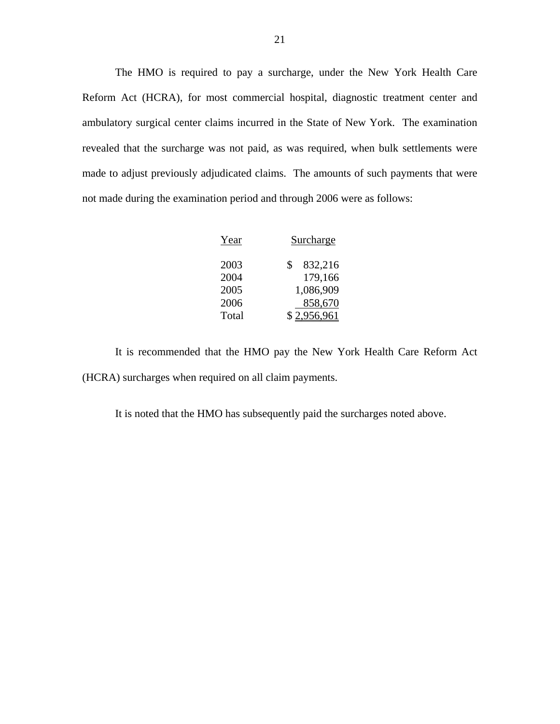The HMO is required to pay a surcharge, under the New York Health Care Reform Act (HCRA), for most commercial hospital, diagnostic treatment center and ambulatory surgical center claims incurred in the State of New York. The examination revealed that the surcharge was not paid, as was required, when bulk settlements were made to adjust previously adjudicated claims. The amounts of such payments that were not made during the examination period and through 2006 were as follows:

| Year  | Surcharge     |
|-------|---------------|
| 2003  | 832,216<br>S. |
| 2004  | 179,166       |
| 2005  | 1,086,909     |
| 2006  | 858,670       |
| Total | \$2,956,961   |
|       |               |

It is recommended that the HMO pay the New York Health Care Reform Act (HCRA) surcharges when required on all claim payments.

It is noted that the HMO has subsequently paid the surcharges noted above.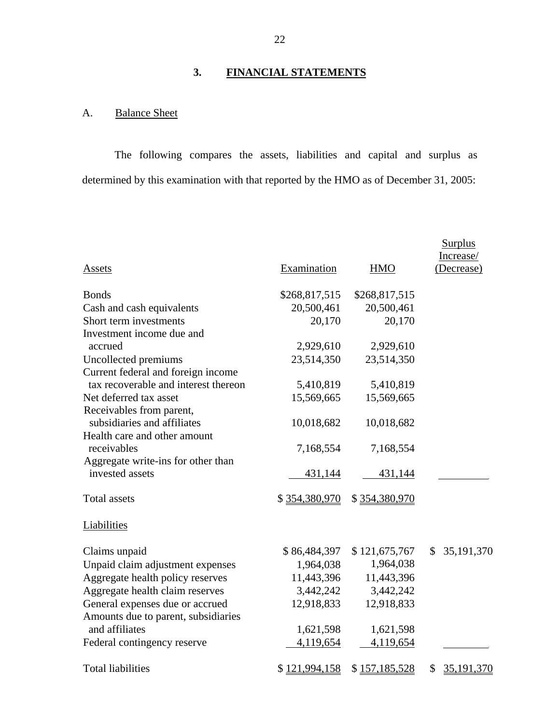# **3. FINANCIAL STATEMENTS**

# A. Balance Sheet

The following compares the assets, liabilities and capital and surplus as determined by this examination with that reported by the HMO as of December 31, 2005:

|                                                       |               |                | <b>Surplus</b>          |
|-------------------------------------------------------|---------------|----------------|-------------------------|
| Assets                                                | Examination   | <b>HMO</b>     | Increase/<br>(Decrease) |
| <b>Bonds</b>                                          | \$268,817,515 | \$268,817,515  |                         |
| Cash and cash equivalents                             | 20,500,461    | 20,500,461     |                         |
| Short term investments                                | 20,170        | 20,170         |                         |
| Investment income due and                             |               |                |                         |
| accrued                                               | 2,929,610     | 2,929,610      |                         |
| Uncollected premiums                                  | 23,514,350    | 23,514,350     |                         |
| Current federal and foreign income                    |               |                |                         |
| tax recoverable and interest thereon                  | 5,410,819     | 5,410,819      |                         |
| Net deferred tax asset                                | 15,569,665    | 15,569,665     |                         |
| Receivables from parent,                              |               |                |                         |
| subsidiaries and affiliates                           | 10,018,682    | 10,018,682     |                         |
| Health care and other amount                          |               |                |                         |
| receivables                                           | 7,168,554     | 7,168,554      |                         |
| Aggregate write-ins for other than<br>invested assets |               |                |                         |
|                                                       | 431,144       | <u>431,144</u> |                         |
| <b>Total</b> assets                                   | \$354,380,970 | \$354,380,970  |                         |
| Liabilities                                           |               |                |                         |
| Claims unpaid                                         | \$86,484,397  | \$121,675,767  | 35,191,370<br>S.        |
| Unpaid claim adjustment expenses                      | 1,964,038     | 1,964,038      |                         |
| Aggregate health policy reserves                      | 11,443,396    | 11,443,396     |                         |
| Aggregate health claim reserves                       | 3,442,242     | 3,442,242      |                         |
| General expenses due or accrued                       | 12,918,833    | 12,918,833     |                         |
| Amounts due to parent, subsidiaries                   |               |                |                         |
| and affiliates                                        | 1,621,598     | 1,621,598      |                         |
| Federal contingency reserve                           | 4,119,654     | 4,119,654      |                         |
| <b>Total liabilities</b>                              | \$121,994,158 | \$157,185,528  | 35,191,370<br>\$        |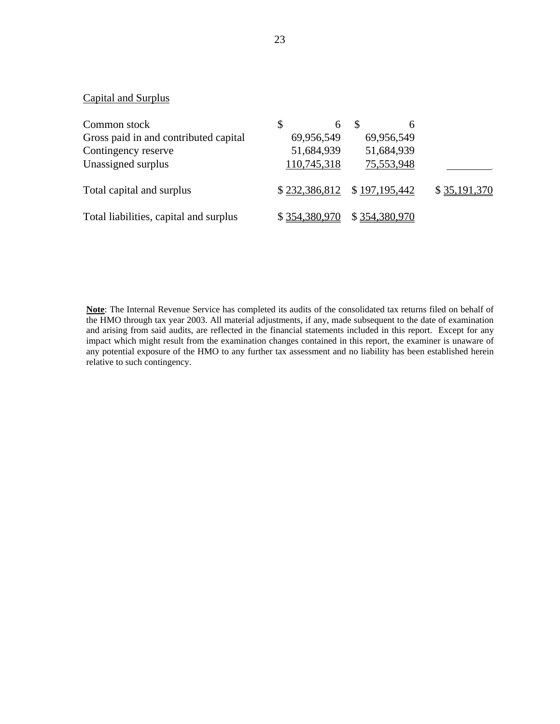# Capital and Surplus

| Common stock                           | 6             | h                           |              |
|----------------------------------------|---------------|-----------------------------|--------------|
| Gross paid in and contributed capital  | 69,956,549    | 69,956,549                  |              |
| Contingency reserve                    | 51,684,939    | 51,684,939                  |              |
| Unassigned surplus                     | 110,745,318   | 75,553,948                  |              |
| Total capital and surplus              |               | \$232,386,812 \$197,195,442 | \$35,191,370 |
| Total liabilities, capital and surplus | \$354,380,970 | \$354,380,970               |              |

**Note**: The Internal Revenue Service has completed its audits of the consolidated tax returns filed on behalf of the HMO through tax year 2003. All material adjustments, if any, made subsequent to the date of examination and arising from said audits, are reflected in the financial statements included in this report. Except for any impact which might result from the examination changes contained in this report, the examiner is unaware of any potential exposure of the HMO to any further tax assessment and no liability has been established herein relative to such contingency.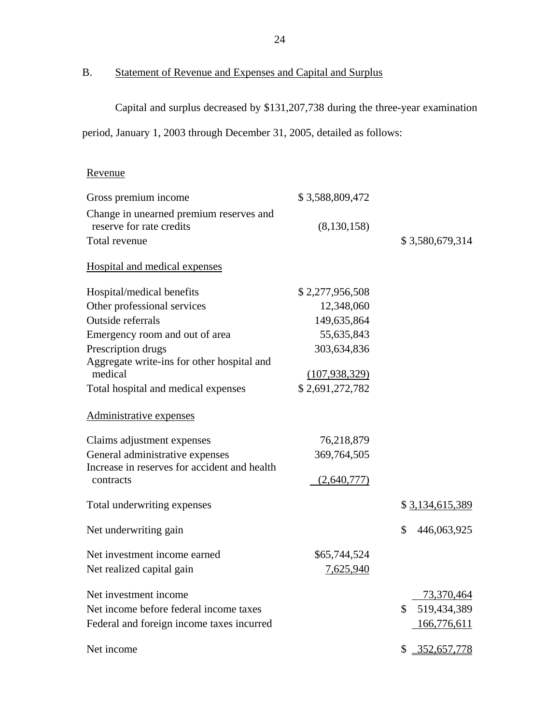# B. Statement of Revenue and Expenses and Capital and Surplus

Capital and surplus decreased by \$131,207,738 during the three-year examination

period, January 1, 2003 through December 31, 2005, detailed as follows:

# Revenue

| Gross premium income                         | \$3,588,809,472 |                   |
|----------------------------------------------|-----------------|-------------------|
| Change in unearned premium reserves and      |                 |                   |
| reserve for rate credits                     | (8,130,158)     |                   |
| Total revenue                                |                 | \$3,580,679,314   |
| Hospital and medical expenses                |                 |                   |
| Hospital/medical benefits                    | \$2,277,956,508 |                   |
| Other professional services                  | 12,348,060      |                   |
| Outside referrals                            | 149,635,864     |                   |
| Emergency room and out of area               | 55,635,843      |                   |
| Prescription drugs                           | 303,634,836     |                   |
| Aggregate write-ins for other hospital and   |                 |                   |
| medical                                      | (107, 938, 329) |                   |
| Total hospital and medical expenses          | \$2,691,272,782 |                   |
| Administrative expenses                      |                 |                   |
| Claims adjustment expenses                   | 76,218,879      |                   |
| General administrative expenses              | 369,764,505     |                   |
| Increase in reserves for accident and health |                 |                   |
| contracts                                    | (2,640,777)     |                   |
| Total underwriting expenses                  |                 | \$3,134,615,389   |
| Net underwriting gain                        |                 | \$<br>446,063,925 |
| Net investment income earned                 | \$65,744,524    |                   |
| Net realized capital gain                    | 7,625,940       |                   |
| Net investment income                        |                 | 73,370,464        |
| Net income before federal income taxes       |                 | 519,434,389<br>\$ |
| Federal and foreign income taxes incurred    |                 | 166,776,611       |
| Net income                                   |                 | \$352,657,778     |
|                                              |                 |                   |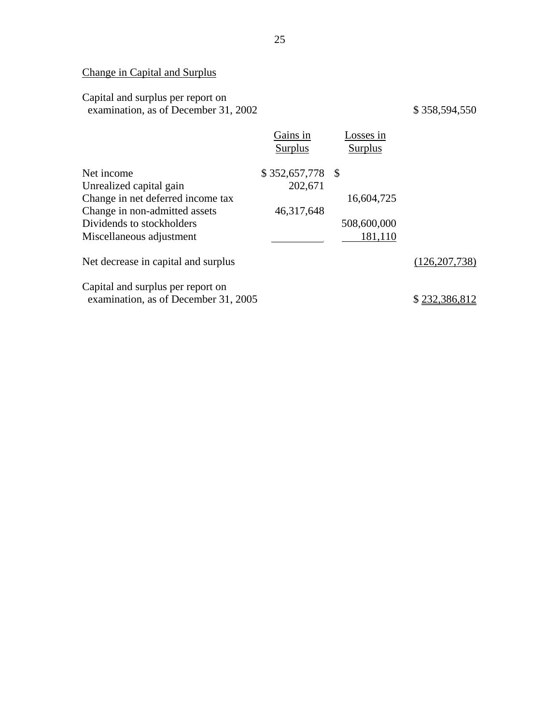# Change in Capital and Surplus

## Capital and surplus per report on examination, as of December 31, 2002 \$ 358,594,550

|                                      | Gains in<br>Surplus | Losses in<br>Surplus |                 |
|--------------------------------------|---------------------|----------------------|-----------------|
| Net income                           | $$352,657,778$ \\$  |                      |                 |
| Unrealized capital gain              | 202,671             |                      |                 |
| Change in net deferred income tax    |                     | 16,604,725           |                 |
| Change in non-admitted assets        | 46,317,648          |                      |                 |
| Dividends to stockholders            |                     | 508,600,000          |                 |
| Miscellaneous adjustment             |                     | 181,110              |                 |
| Net decrease in capital and surplus  |                     |                      | (126, 207, 738) |
| Capital and surplus per report on    |                     |                      |                 |
| examination, as of December 31, 2005 |                     |                      | \$232,386,812   |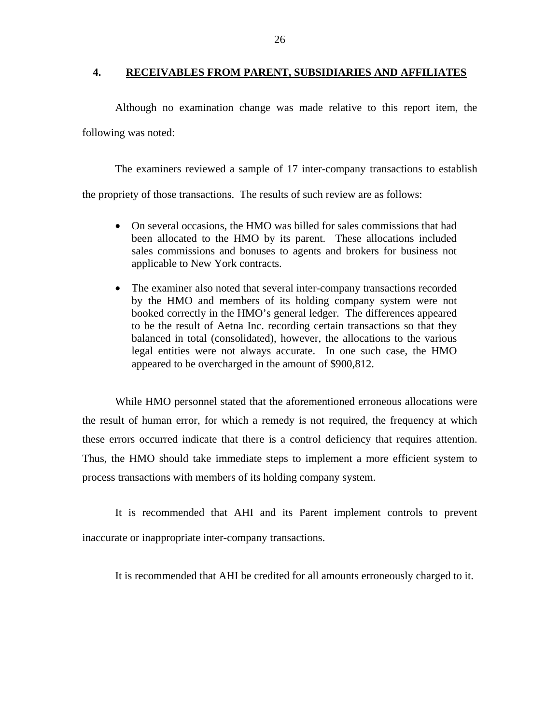## <span id="page-27-0"></span>**4. RECEIVABLES FROM PARENT, SUBSIDIARIES AND AFFILIATES**

Although no examination change was made relative to this report item, the following was noted:

The examiners reviewed a sample of 17 inter-company transactions to establish the propriety of those transactions. The results of such review are as follows:

- On several occasions, the HMO was billed for sales commissions that had been allocated to the HMO by its parent. These allocations included sales commissions and bonuses to agents and brokers for business not applicable to New York contracts.
- The examiner also noted that several inter-company transactions recorded by the HMO and members of its holding company system were not booked correctly in the HMO's general ledger. The differences appeared to be the result of Aetna Inc. recording certain transactions so that they balanced in total (consolidated), however, the allocations to the various legal entities were not always accurate. In one such case, the HMO appeared to be overcharged in the amount of \$900,812.

these errors occurred indicate that there is a control deficiency that requires attention. While HMO personnel stated that the aforementioned erroneous allocations were the result of human error, for which a remedy is not required, the frequency at which Thus, the HMO should take immediate steps to implement a more efficient system to process transactions with members of its holding company system.

It is recommended that AHI and its Parent implement controls to prevent inaccurate or inappropriate inter-company transactions.

It is recommended that AHI be credited for all amounts erroneously charged to it.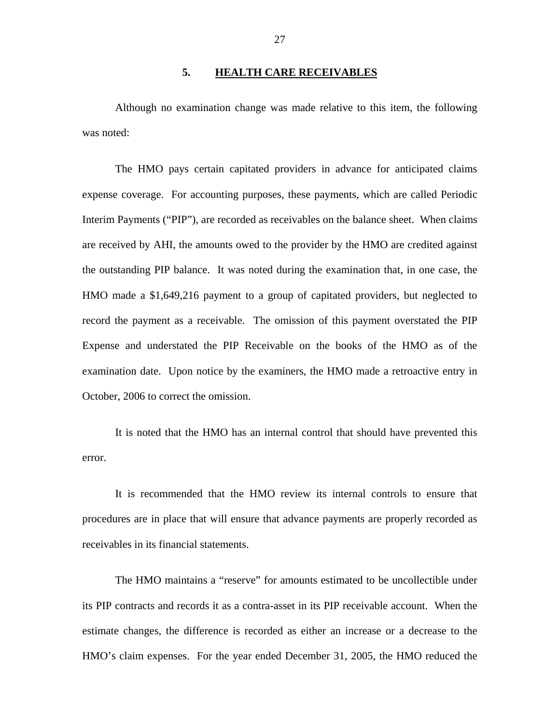## **5. HEALTH CARE RECEIVABLES**

<span id="page-28-0"></span>Although no examination change was made relative to this item, the following was noted:

The HMO pays certain capitated providers in advance for anticipated claims expense coverage. For accounting purposes, these payments, which are called Periodic Interim Payments ("PIP"), are recorded as receivables on the balance sheet. When claims are received by AHI, the amounts owed to the provider by the HMO are credited against the outstanding PIP balance. It was noted during the examination that, in one case, the HMO made a \$1,649,216 payment to a group of capitated providers, but neglected to record the payment as a receivable. The omission of this payment overstated the PIP Expense and understated the PIP Receivable on the books of the HMO as of the examination date. Upon notice by the examiners, the HMO made a retroactive entry in October, 2006 to correct the omission.

It is noted that the HMO has an internal control that should have prevented this error.

It is recommended that the HMO review its internal controls to ensure that procedures are in place that will ensure that advance payments are properly recorded as receivables in its financial statements.

The HMO maintains a "reserve" for amounts estimated to be uncollectible under its PIP contracts and records it as a contra-asset in its PIP receivable account. When the estimate changes, the difference is recorded as either an increase or a decrease to the HMO's claim expenses. For the year ended December 31, 2005, the HMO reduced the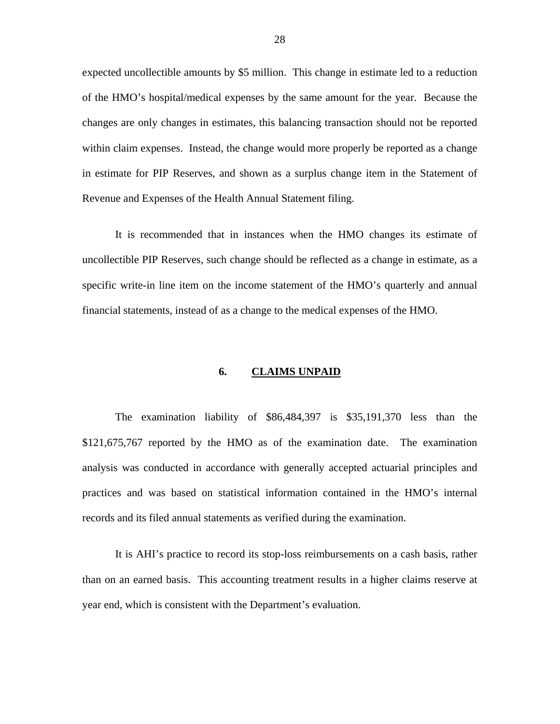<span id="page-29-0"></span>expected uncollectible amounts by \$5 million. This change in estimate led to a reduction of the HMO's hospital/medical expenses by the same amount for the year. Because the changes are only changes in estimates, this balancing transaction should not be reported within claim expenses. Instead, the change would more properly be reported as a change in estimate for PIP Reserves, and shown as a surplus change item in the Statement of Revenue and Expenses of the Health Annual Statement filing.

It is recommended that in instances when the HMO changes its estimate of uncollectible PIP Reserves, such change should be reflected as a change in estimate, as a specific write-in line item on the income statement of the HMO's quarterly and annual financial statements, instead of as a change to the medical expenses of the HMO.

#### **6. CLAIMS UNPAID**

The examination liability of \$86,484,397 is \$35,191,370 less than the \$121,675,767 reported by the HMO as of the examination date. The examination analysis was conducted in accordance with generally accepted actuarial principles and practices and was based on statistical information contained in the HMO's internal records and its filed annual statements as verified during the examination.

It is AHI's practice to record its stop-loss reimbursements on a cash basis, rather than on an earned basis. This accounting treatment results in a higher claims reserve at year end, which is consistent with the Department's evaluation.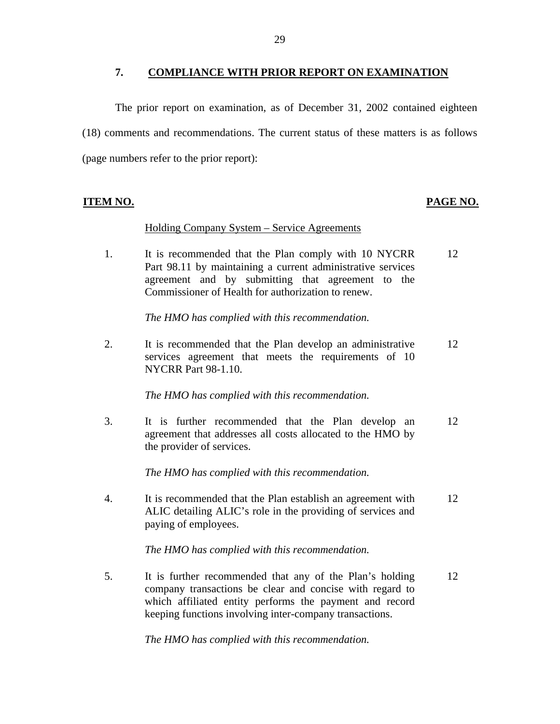## **7. COMPLIANCE WITH PRIOR REPORT ON EXAMINATION**

<span id="page-30-0"></span>The prior report on examination, as of December 31, 2002 contained eighteen (18) comments and recommendations. The current status of these matters is as follows (page numbers refer to the prior report):

# **ITEM NO. PAGE NO.**

## Holding Company System – Service Agreements

1. It is recommended that the Plan comply with 10 NYCRR 12 Part 98.11 by maintaining a current administrative services agreement and by submitting that agreement to the Commissioner of Health for authorization to renew.

*The HMO has complied with this recommendation.* 

2. It is recommended that the Plan develop an administrative 12 services agreement that meets the requirements of 10 NYCRR Part 98-1.10.

*The HMO has complied with this recommendation.* 

3. It is further recommended that the Plan develop an 12 agreement that addresses all costs allocated to the HMO by the provider of services.

*The HMO has complied with this recommendation.* 

4. It is recommended that the Plan establish an agreement with 12 ALIC detailing ALIC's role in the providing of services and paying of employees.

*The HMO has complied with this recommendation.* 

5. It is further recommended that any of the Plan's holding 12 company transactions be clear and concise with regard to which affiliated entity performs the payment and record keeping functions involving inter-company transactions.

*The HMO has complied with this recommendation.*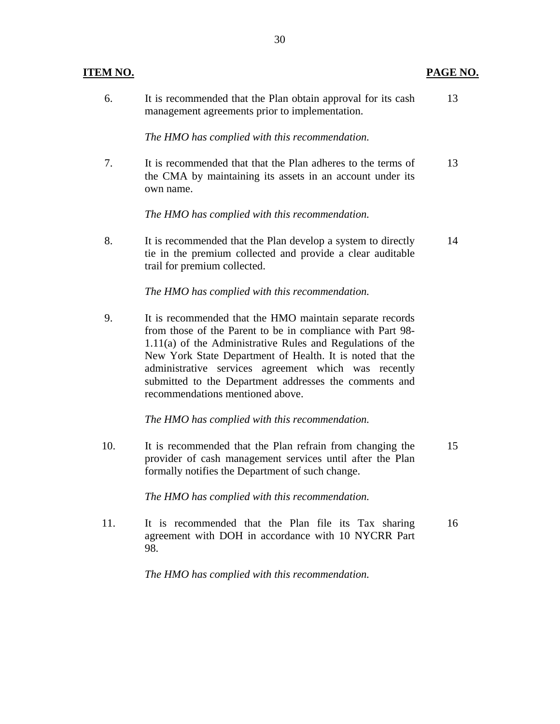| <u>ITEM NO.</u> |                                                                                                                                                                                                                                                                                                                                                                                                         | <u>PAGE NO.</u> |
|-----------------|---------------------------------------------------------------------------------------------------------------------------------------------------------------------------------------------------------------------------------------------------------------------------------------------------------------------------------------------------------------------------------------------------------|-----------------|
| 6.              | It is recommended that the Plan obtain approval for its cash<br>management agreements prior to implementation.                                                                                                                                                                                                                                                                                          | 13              |
|                 | The HMO has complied with this recommendation.                                                                                                                                                                                                                                                                                                                                                          |                 |
| 7.              | It is recommended that that the Plan adheres to the terms of<br>the CMA by maintaining its assets in an account under its<br>own name.                                                                                                                                                                                                                                                                  | 13              |
|                 | The HMO has complied with this recommendation.                                                                                                                                                                                                                                                                                                                                                          |                 |
| 8.              | It is recommended that the Plan develop a system to directly<br>tie in the premium collected and provide a clear auditable<br>trail for premium collected.                                                                                                                                                                                                                                              | 14              |
|                 | The HMO has complied with this recommendation.                                                                                                                                                                                                                                                                                                                                                          |                 |
| 9.              | It is recommended that the HMO maintain separate records<br>from those of the Parent to be in compliance with Part 98-<br>1.11(a) of the Administrative Rules and Regulations of the<br>New York State Department of Health. It is noted that the<br>administrative services agreement which was recently<br>submitted to the Department addresses the comments and<br>recommendations mentioned above. |                 |
|                 | The HMO has complied with this recommendation.                                                                                                                                                                                                                                                                                                                                                          |                 |
| 10.             | It is recommended that the Plan refrain from changing the<br>provider of cash management services until after the Plan<br>formally notifies the Department of such change.                                                                                                                                                                                                                              | 15              |
|                 | The HMO has complied with this recommendation.                                                                                                                                                                                                                                                                                                                                                          |                 |
| 11.             | It is recommended that the Plan file its Tax sharing<br>agreement with DOH in accordance with 10 NYCRR Part<br>98.                                                                                                                                                                                                                                                                                      | 16              |
|                 | The HMO has complied with this recommendation.                                                                                                                                                                                                                                                                                                                                                          |                 |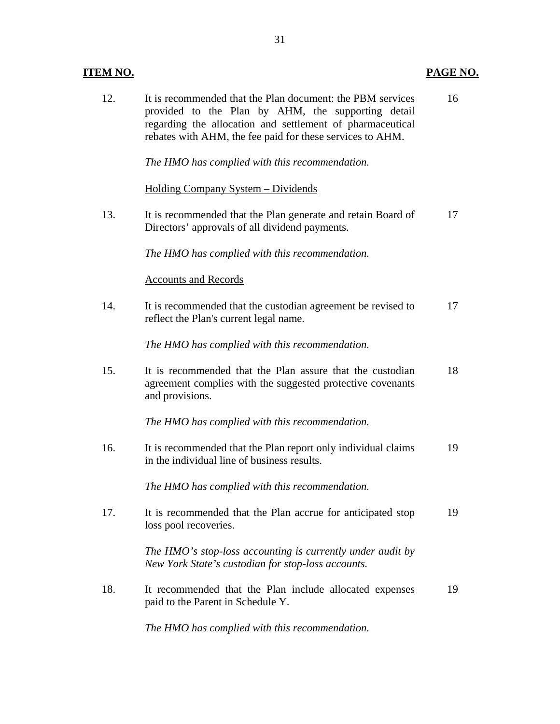# **ITEM NO. PAGE NO.**

| 12. | It is recommended that the Plan document: the PBM services<br>provided to the Plan by AHM, the supporting detail<br>regarding the allocation and settlement of pharmaceutical<br>rebates with AHM, the fee paid for these services to AHM. | 16 |
|-----|--------------------------------------------------------------------------------------------------------------------------------------------------------------------------------------------------------------------------------------------|----|
|     | The HMO has complied with this recommendation.                                                                                                                                                                                             |    |
|     | <u> Holding Company System – Dividends</u>                                                                                                                                                                                                 |    |
| 13. | It is recommended that the Plan generate and retain Board of<br>Directors' approvals of all dividend payments.                                                                                                                             | 17 |
|     | The HMO has complied with this recommendation.                                                                                                                                                                                             |    |
|     | <b>Accounts and Records</b>                                                                                                                                                                                                                |    |
| 14. | It is recommended that the custodian agreement be revised to<br>reflect the Plan's current legal name.                                                                                                                                     | 17 |
|     | The HMO has complied with this recommendation.                                                                                                                                                                                             |    |
| 15. | It is recommended that the Plan assure that the custodian<br>agreement complies with the suggested protective covenants<br>and provisions.                                                                                                 | 18 |
|     | The HMO has complied with this recommendation.                                                                                                                                                                                             |    |
| 16. | It is recommended that the Plan report only individual claims<br>in the individual line of business results.                                                                                                                               | 19 |
|     | The HMO has complied with this recommendation.                                                                                                                                                                                             |    |
| 17. | It is recommended that the Plan accrue for anticipated stop<br>loss pool recoveries.                                                                                                                                                       | 19 |
|     | The HMO's stop-loss accounting is currently under audit by<br>New York State's custodian for stop-loss accounts.                                                                                                                           |    |
| 18. | It recommended that the Plan include allocated expenses<br>paid to the Parent in Schedule Y.                                                                                                                                               | 19 |

*The HMO has complied with this recommendation.*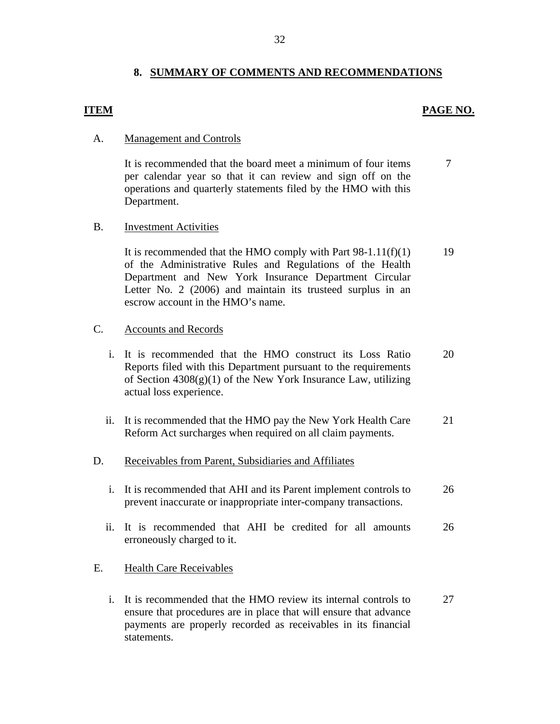# **8. SUMMARY OF COMMENTS AND RECOMMENDATIONS**

# **ITEM PAGE NO.**

### **Management and Controls**

A. Management and Controls<br>It is recommended that the board meet a minimum of four items per calendar year so that it can review and sign off on the operations and quarterly statements filed by the HMO with this Department. 7

### **Investment Activities**

B. Investment Activities<br>It is recommended that the HMO comply with Part  $98-1.11(f)(1)$ of the Administrative Rules and Regulations of the Health Department and New York Insurance Department Circular Letter No. 2 (2006) and maintain its trusteed surplus in an escrow account in the HMO's name. 19

#### **Accounts and Records**

- C. Accounts and Records<br>i. It is recommended that the HMO construct its Loss Ratio Reports filed with this Department pursuant to the requirements of Section 4308(g)(1) of the New York Insurance Law, utilizing actual loss experience. 20
	- ii. It is recommended that the HMO pay the New York Health Care Reform Act surcharges when required on all claim payments. 21

## Receivables from Parent, Subsidiaries and Affiliates

- D. Receivables from Parent, Subsidiaries and Affiliates<br>i. It is recommended that AHI and its Parent implement controls to prevent inaccurate or inappropriate inter-company transactions. 26
	- ii. It is recommended that AHI be credited for all amounts erroneously charged to it. 26

### E. Health Care Receivables

i. It is recommended that the HMO review its internal controls to ensure that procedures are in place that will ensure that advance payments are properly recorded as receivables in its financial statements. 27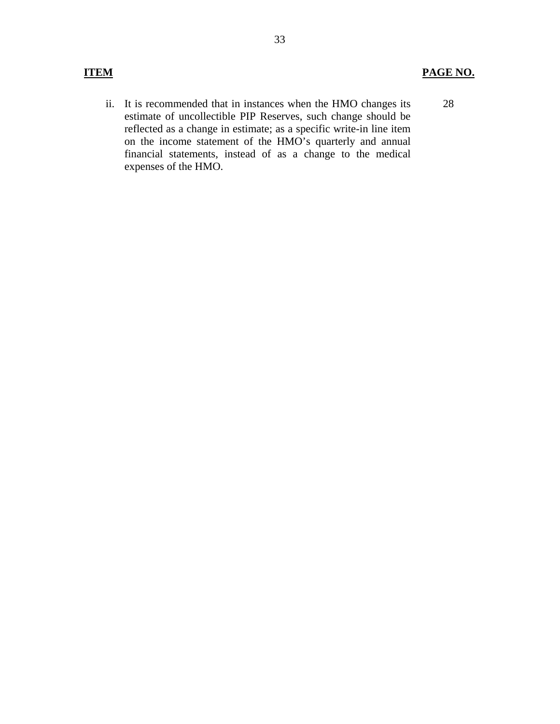ii. It is recommended that in instances when the HMO changes its estimate of uncollectible PIP Reserves, such change should be reflected as a change in estimate; as a specific write-in line item on the income statement of the HMO's quarterly and annual financial statements, instead of as a change to the medical expenses of the HMO. 28